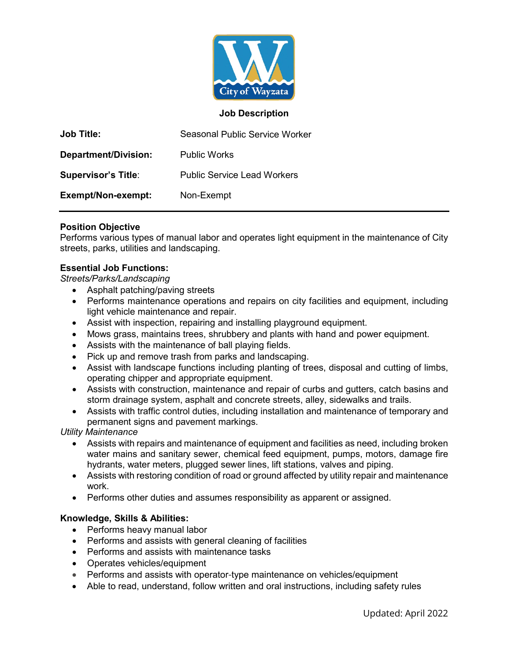

## **Job Description**

| <b>Job Title:</b>          | Seasonal Public Service Worker     |
|----------------------------|------------------------------------|
| Department/Division:       | <b>Public Works</b>                |
| <b>Supervisor's Title:</b> | <b>Public Service Lead Workers</b> |
| Exempt/Non-exempt:         | Non-Exempt                         |

### **Position Objective**

Performs various types of manual labor and operates light equipment in the maintenance of City streets, parks, utilities and landscaping.

### **Essential Job Functions:**

*Streets/Parks/Landscaping*

- Asphalt patching/paving streets
- Performs maintenance operations and repairs on city facilities and equipment, including light vehicle maintenance and repair.
- Assist with inspection, repairing and installing playground equipment.
- Mows grass, maintains trees, shrubbery and plants with hand and power equipment.
- Assists with the maintenance of ball playing fields.
- Pick up and remove trash from parks and landscaping.
- Assist with landscape functions including planting of trees, disposal and cutting of limbs, operating chipper and appropriate equipment.
- Assists with construction, maintenance and repair of curbs and gutters, catch basins and storm drainage system, asphalt and concrete streets, alley, sidewalks and trails.
- Assists with traffic control duties, including installation and maintenance of temporary and permanent signs and pavement markings.

*Utility Maintenance*

- Assists with repairs and maintenance of equipment and facilities as need, including broken water mains and sanitary sewer, chemical feed equipment, pumps, motors, damage fire hydrants, water meters, plugged sewer lines, lift stations, valves and piping.
- Assists with restoring condition of road or ground affected by utility repair and maintenance work.
- Performs other duties and assumes responsibility as apparent or assigned.

#### **Knowledge, Skills & Abilities:**

- Performs heavy manual labor
- Performs and assists with general cleaning of facilities
- Performs and assists with maintenance tasks
- Operates vehicles/equipment
- Performs and assists with operator-type maintenance on vehicles/equipment
- Able to read, understand, follow written and oral instructions, including safety rules